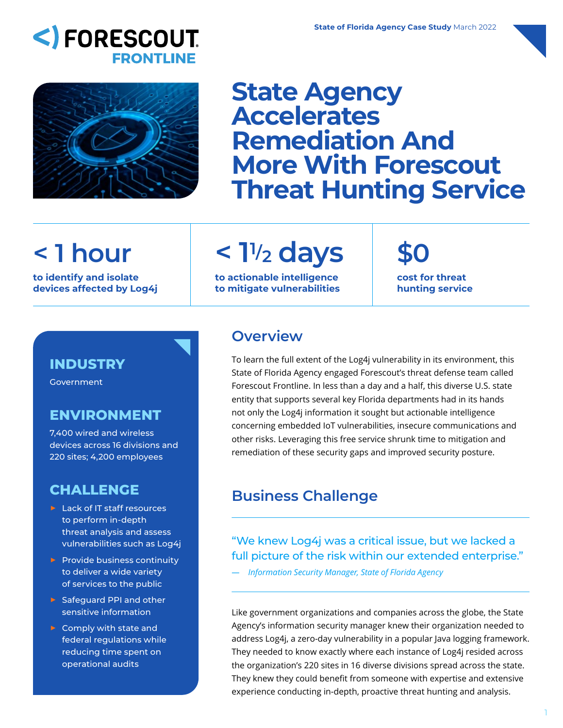# <) FORESCOUT. **FRONTLINE**



# **State Agency Accelerates Remediation And More With Forescout Threat Hunting Service**

# **< 1 hour**

**to identify and isolate devices affected by Log4j**

# **< 11/2 days**

**to actionable intelligence to mitigate vulnerabilities** **\$0 cost for threat hunting service**

#### **INDUSTRY**

**Government** 

#### **ENVIRONMENT**

7,400 wired and wireless devices across 16 divisions and 220 sites; 4,200 employees

#### **CHALLENGE**

- ▶ Lack of IT staff resources to perform in-depth threat analysis and assess vulnerabilities such as Log4j
- $\triangleright$  Provide business continuity to deliver a wide variety of services to the public
- ▶ Safeguard PPI and other sensitive information
- ▶ Comply with state and federal regulations while reducing time spent on operational audits

### **Overview**

To learn the full extent of the Log4j vulnerability in its environment, this State of Florida Agency engaged Forescout's threat defense team called Forescout Frontline. In less than a day and a half, this diverse U.S. state entity that supports several key Florida departments had in its hands not only the Log4j information it sought but actionable intelligence concerning embedded IoT vulnerabilities, insecure communications and other risks. Leveraging this free service shrunk time to mitigation and remediation of these security gaps and improved security posture.

## **Business Challenge**

#### "We knew Log4j was a critical issue, but we lacked a full picture of the risk within our extended enterprise."

*— Information Security Manager, State of Florida Agency*

Like government organizations and companies across the globe, the State Agency's information security manager knew their organization needed to address Log4j, a zero-day vulnerability in a popular Java logging framework. They needed to know exactly where each instance of Log4j resided across the organization's 220 sites in 16 diverse divisions spread across the state. They knew they could benefit from someone with expertise and extensive experience conducting in-depth, proactive threat hunting and analysis.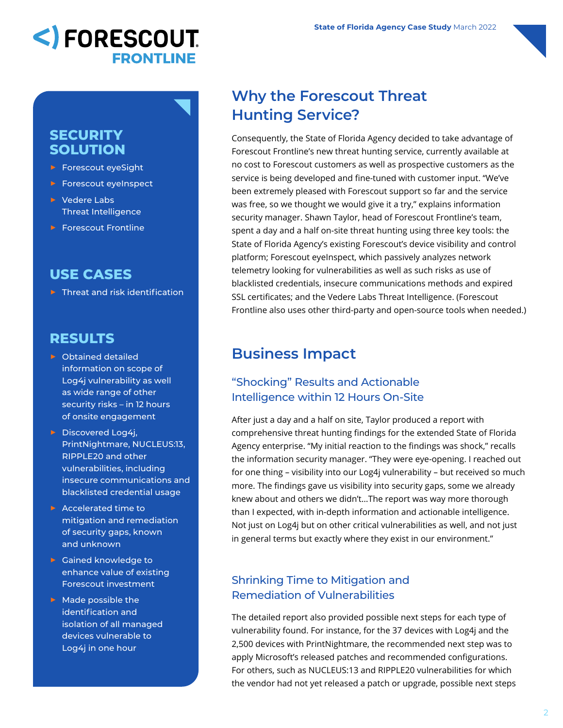

#### **SECURITY SOLUTION**

- ▶ Forescout eyeSight
- ▶ Forescout eyeInspect
- ▶ Vedere Labs Threat Intelligence
- ▶ Forescout Frontline

### **USE CASES**

 $\triangleright$  Threat and risk identification

#### **RESULTS**

- ▶ Obtained detailed information on scope of Log4j vulnerability as well as wide range of other security risks – in 12 hours of onsite engagement
- ▶ Discovered Log4j, PrintNightmare, NUCLEUS:13, RIPPLE20 and other vulnerabilities, including insecure communications and blacklisted credential usage
- ▶ Accelerated time to mitigation and remediation of security gaps, known and unknown
- ▶ Gained knowledge to enhance value of existing Forescout investment
- ▶ Made possible the identification and isolation of all managed devices vulnerable to Log4j in one hour

## **Why the Forescout Threat Hunting Service?**

Consequently, the State of Florida Agency decided to take advantage of Forescout Frontline's new threat hunting service, currently available at no cost to Forescout customers as well as prospective customers as the service is being developed and fine-tuned with customer input. "We've been extremely pleased with Forescout support so far and the service was free, so we thought we would give it a try," explains information security manager. Shawn Taylor, head of Forescout Frontline's team, spent a day and a half on-site threat hunting using three key tools: the State of Florida Agency's existing Forescout's device visibility and control platform; Forescout eyeInspect, which passively analyzes network telemetry looking for vulnerabilities as well as such risks as use of blacklisted credentials, insecure communications methods and expired SSL certificates; and the Vedere Labs Threat Intelligence. (Forescout Frontline also uses other third-party and open-source tools when needed.)

### **Business Impact**

#### "Shocking" Results and Actionable Intelligence within 12 Hours On-Site

After just a day and a half on site, Taylor produced a report with comprehensive threat hunting findings for the extended State of Florida Agency enterprise. "My initial reaction to the findings was shock," recalls the information security manager. "They were eye-opening. I reached out for one thing – visibility into our Log4j vulnerability – but received so much more. The findings gave us visibility into security gaps, some we already knew about and others we didn't…The report was way more thorough than I expected, with in-depth information and actionable intelligence. Not just on Log4j but on other critical vulnerabilities as well, and not just in general terms but exactly where they exist in our environment."

#### Shrinking Time to Mitigation and Remediation of Vulnerabilities

The detailed report also provided possible next steps for each type of vulnerability found. For instance, for the 37 devices with Log4j and the 2,500 devices with PrintNightmare, the recommended next step was to apply Microsoft's released patches and recommended configurations. For others, such as NUCLEUS:13 and RIPPLE20 vulnerabilities for which the vendor had not yet released a patch or upgrade, possible next steps